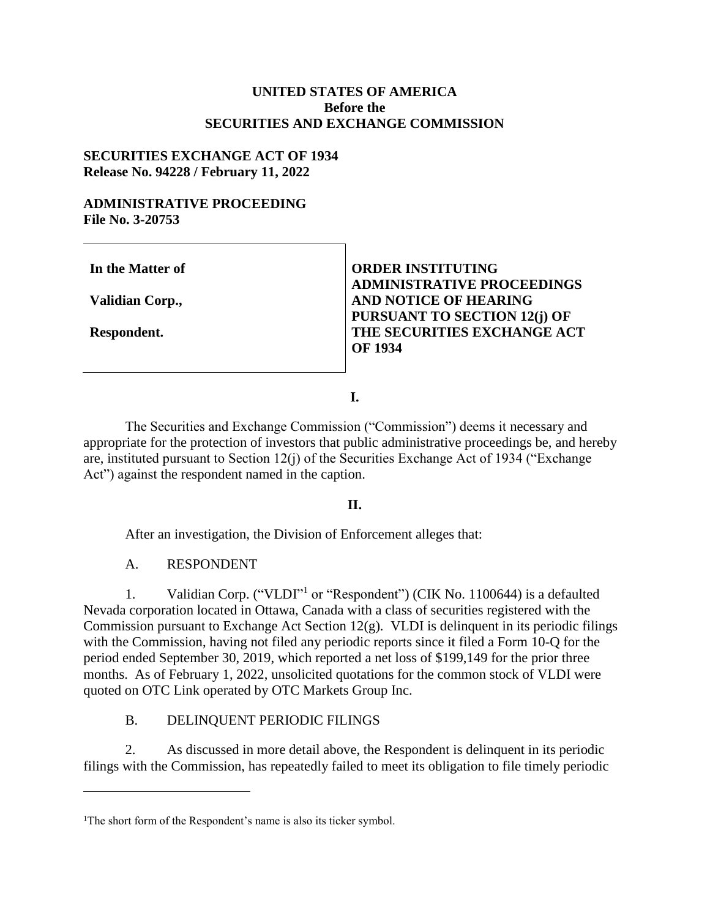## **UNITED STATES OF AMERICA Before the SECURITIES AND EXCHANGE COMMISSION**

### **SECURITIES EXCHANGE ACT OF 1934 Release No. 94228 / February 11, 2022**

### **ADMINISTRATIVE PROCEEDING File No. 3-20753**

**In the Matter of** 

**Validian Corp.,**

**Respondent.**

 $\overline{a}$ 

**ORDER INSTITUTING ADMINISTRATIVE PROCEEDINGS AND NOTICE OF HEARING PURSUANT TO SECTION 12(j) OF THE SECURITIES EXCHANGE ACT OF 1934**

**I.**

The Securities and Exchange Commission ("Commission") deems it necessary and appropriate for the protection of investors that public administrative proceedings be, and hereby are, instituted pursuant to Section 12(j) of the Securities Exchange Act of 1934 ("Exchange Act") against the respondent named in the caption.

## **II.**

After an investigation, the Division of Enforcement alleges that:

A. RESPONDENT

1. Validian Corp. ("VLDI"<sup>1</sup> or "Respondent") (CIK No. 1100644) is a defaulted Nevada corporation located in Ottawa, Canada with a class of securities registered with the Commission pursuant to Exchange Act Section 12(g). VLDI is delinquent in its periodic filings with the Commission, having not filed any periodic reports since it filed a Form 10-Q for the period ended September 30, 2019, which reported a net loss of \$199,149 for the prior three months. As of February 1, 2022, unsolicited quotations for the common stock of VLDI were quoted on OTC Link operated by OTC Markets Group Inc.

# B. DELINQUENT PERIODIC FILINGS

2. As discussed in more detail above, the Respondent is delinquent in its periodic filings with the Commission, has repeatedly failed to meet its obligation to file timely periodic

<sup>&</sup>lt;sup>1</sup>The short form of the Respondent's name is also its ticker symbol.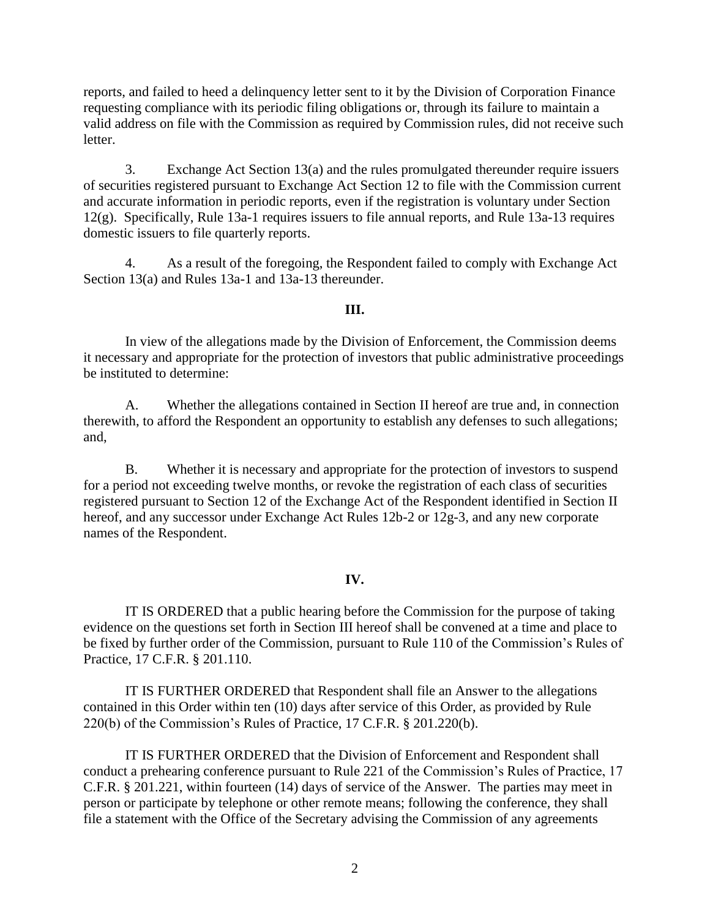reports, and failed to heed a delinquency letter sent to it by the Division of Corporation Finance requesting compliance with its periodic filing obligations or, through its failure to maintain a valid address on file with the Commission as required by Commission rules, did not receive such letter.

3. Exchange Act Section 13(a) and the rules promulgated thereunder require issuers of securities registered pursuant to Exchange Act Section 12 to file with the Commission current and accurate information in periodic reports, even if the registration is voluntary under Section 12(g). Specifically, Rule 13a-1 requires issuers to file annual reports, and Rule 13a-13 requires domestic issuers to file quarterly reports.

4. As a result of the foregoing, the Respondent failed to comply with Exchange Act Section 13(a) and Rules 13a-1 and 13a-13 thereunder.

### **III.**

In view of the allegations made by the Division of Enforcement, the Commission deems it necessary and appropriate for the protection of investors that public administrative proceedings be instituted to determine:

A. Whether the allegations contained in Section II hereof are true and, in connection therewith, to afford the Respondent an opportunity to establish any defenses to such allegations; and,

B. Whether it is necessary and appropriate for the protection of investors to suspend for a period not exceeding twelve months, or revoke the registration of each class of securities registered pursuant to Section 12 of the Exchange Act of the Respondent identified in Section II hereof, and any successor under Exchange Act Rules 12b-2 or 12g-3, and any new corporate names of the Respondent.

## **IV.**

IT IS ORDERED that a public hearing before the Commission for the purpose of taking evidence on the questions set forth in Section III hereof shall be convened at a time and place to be fixed by further order of the Commission, pursuant to Rule 110 of the Commission's Rules of Practice, 17 C.F.R. § 201.110.

IT IS FURTHER ORDERED that Respondent shall file an Answer to the allegations contained in this Order within ten (10) days after service of this Order, as provided by Rule 220(b) of the Commission's Rules of Practice, 17 C.F.R. § 201.220(b).

IT IS FURTHER ORDERED that the Division of Enforcement and Respondent shall conduct a prehearing conference pursuant to Rule 221 of the Commission's Rules of Practice, 17 C.F.R. § 201.221, within fourteen (14) days of service of the Answer. The parties may meet in person or participate by telephone or other remote means; following the conference, they shall file a statement with the Office of the Secretary advising the Commission of any agreements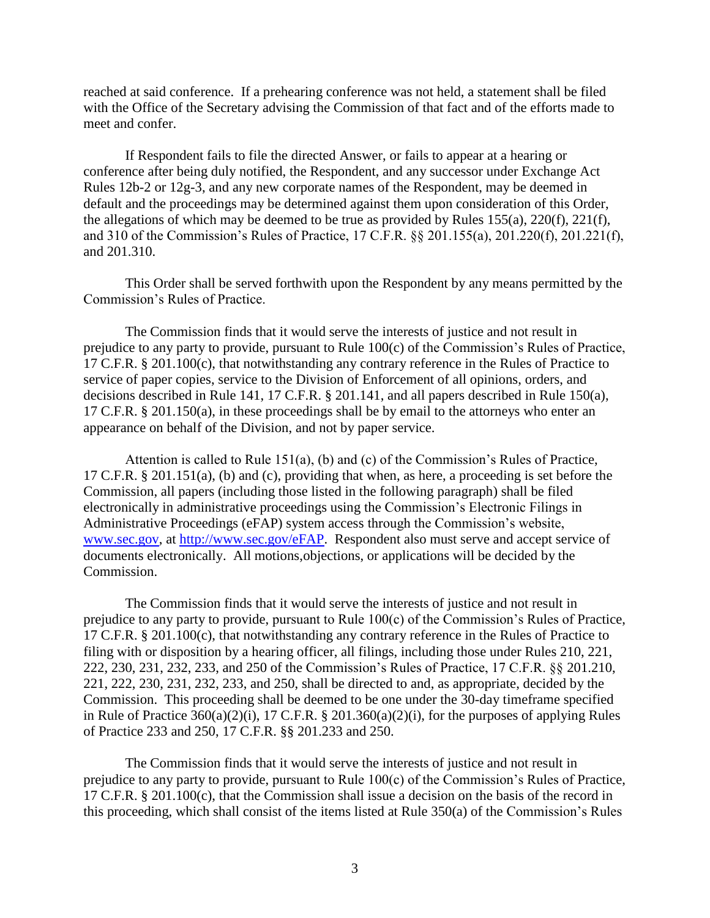reached at said conference. If a prehearing conference was not held, a statement shall be filed with the Office of the Secretary advising the Commission of that fact and of the efforts made to meet and confer.

If Respondent fails to file the directed Answer, or fails to appear at a hearing or conference after being duly notified, the Respondent, and any successor under Exchange Act Rules 12b-2 or 12g-3, and any new corporate names of the Respondent, may be deemed in default and the proceedings may be determined against them upon consideration of this Order, the allegations of which may be deemed to be true as provided by Rules  $155(a)$ ,  $220(f)$ ,  $221(f)$ , and 310 of the Commission's Rules of Practice, 17 C.F.R. §§ 201.155(a), 201.220(f), 201.221(f), and 201.310.

This Order shall be served forthwith upon the Respondent by any means permitted by the Commission's Rules of Practice.

The Commission finds that it would serve the interests of justice and not result in prejudice to any party to provide, pursuant to Rule 100(c) of the Commission's Rules of Practice, 17 C.F.R. § 201.100(c), that notwithstanding any contrary reference in the Rules of Practice to service of paper copies, service to the Division of Enforcement of all opinions, orders, and decisions described in Rule 141, 17 C.F.R. § 201.141, and all papers described in Rule 150(a), 17 C.F.R. § 201.150(a), in these proceedings shall be by email to the attorneys who enter an appearance on behalf of the Division, and not by paper service.

Attention is called to Rule 151(a), (b) and (c) of the Commission's Rules of Practice, 17 C.F.R. § 201.151(a), (b) and (c), providing that when, as here, a proceeding is set before the Commission, all papers (including those listed in the following paragraph) shall be filed electronically in administrative proceedings using the Commission's Electronic Filings in Administrative Proceedings (eFAP) system access through the Commission's website, [www.sec.gov, a](http://www.sec.gov/)t [http://www.sec.gov/eFAP.](http://www.sec.gov/eFAP) Respondent also must serve and accept service of documents electronically. All motions,objections, or applications will be decided by the Commission.

The Commission finds that it would serve the interests of justice and not result in prejudice to any party to provide, pursuant to Rule 100(c) of the Commission's Rules of Practice, 17 C.F.R. § 201.100(c), that notwithstanding any contrary reference in the Rules of Practice to filing with or disposition by a hearing officer, all filings, including those under Rules 210, 221, 222, 230, 231, 232, 233, and 250 of the Commission's Rules of Practice, 17 C.F.R. §§ 201.210, 221, 222, 230, 231, 232, 233, and 250, shall be directed to and, as appropriate, decided by the Commission. This proceeding shall be deemed to be one under the 30-day timeframe specified in Rule of Practice  $360(a)(2)(i)$ , 17 C.F.R. § 201.360(a)(2)(i), for the purposes of applying Rules of Practice 233 and 250, 17 C.F.R. §§ 201.233 and 250.

The Commission finds that it would serve the interests of justice and not result in prejudice to any party to provide, pursuant to Rule 100(c) of the Commission's Rules of Practice, 17 C.F.R. § 201.100(c), that the Commission shall issue a decision on the basis of the record in this proceeding, which shall consist of the items listed at Rule 350(a) of the Commission's Rules